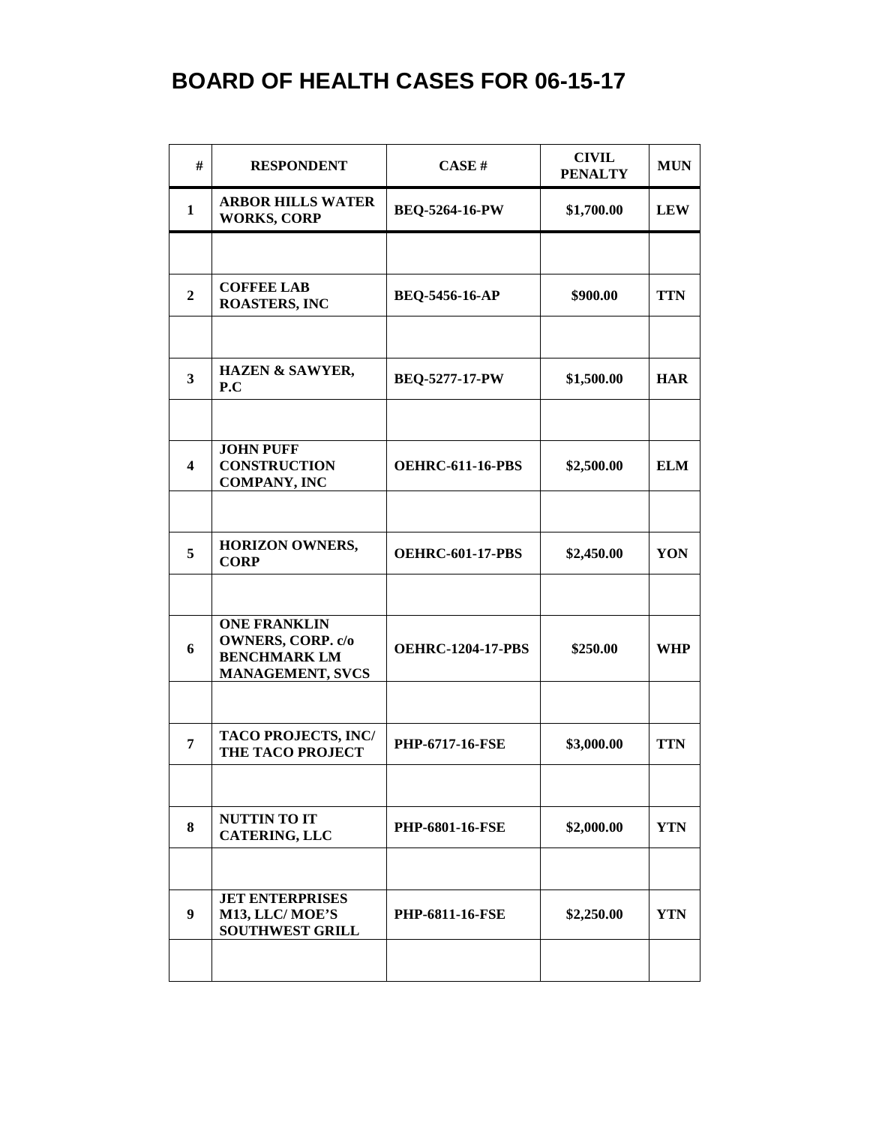## **BOARD OF HEALTH CASES FOR 06-15-17**

| #                       | <b>RESPONDENT</b>                                                                                 | CASE#                    | <b>CIVIL</b><br><b>PENALTY</b> | <b>MUN</b> |
|-------------------------|---------------------------------------------------------------------------------------------------|--------------------------|--------------------------------|------------|
| 1                       | <b>ARBOR HILLS WATER</b><br><b>WORKS, CORP</b>                                                    | <b>BEQ-5264-16-PW</b>    | \$1,700.00                     | <b>LEW</b> |
|                         |                                                                                                   |                          |                                |            |
| $\boldsymbol{2}$        | <b>COFFEE LAB</b><br><b>ROASTERS, INC</b>                                                         | <b>BEQ-5456-16-AP</b>    | \$900.00                       | <b>TTN</b> |
|                         |                                                                                                   |                          |                                |            |
| $\mathbf{3}$            | <b>HAZEN &amp; SAWYER,</b><br>P.C                                                                 | <b>BEQ-5277-17-PW</b>    | \$1,500.00                     | <b>HAR</b> |
|                         |                                                                                                   |                          |                                |            |
| $\overline{\mathbf{4}}$ | <b>JOHN PUFF</b><br><b>CONSTRUCTION</b><br><b>COMPANY, INC</b>                                    | <b>OEHRC-611-16-PBS</b>  | \$2,500.00                     | <b>ELM</b> |
|                         |                                                                                                   |                          |                                |            |
| 5                       | <b>HORIZON OWNERS,</b><br><b>CORP</b>                                                             | <b>OEHRC-601-17-PBS</b>  | \$2,450.00                     | YON        |
|                         |                                                                                                   |                          |                                |            |
| 6                       | <b>ONE FRANKLIN</b><br><b>OWNERS, CORP. c/o</b><br><b>BENCHMARK LM</b><br><b>MANAGEMENT, SVCS</b> | <b>OEHRC-1204-17-PBS</b> | \$250.00                       | <b>WHP</b> |
|                         |                                                                                                   |                          |                                |            |
| 7                       | <b>TACO PROJECTS, INC/</b><br><b>THE TACO PROJECT</b>                                             | <b>PHP-6717-16-FSE</b>   | \$3,000.00                     | <b>TTN</b> |
|                         |                                                                                                   |                          |                                |            |
| 8                       | <b>NUTTIN TO IT</b><br>CATERING, LLC                                                              | <b>PHP-6801-16-FSE</b>   | \$2,000.00                     | <b>YTN</b> |
|                         |                                                                                                   |                          |                                |            |
| $\boldsymbol{9}$        | <b>JET ENTERPRISES</b><br>M13, LLC/MOE'S<br><b>SOUTHWEST GRILL</b>                                | <b>PHP-6811-16-FSE</b>   | \$2,250.00                     | <b>YTN</b> |
|                         |                                                                                                   |                          |                                |            |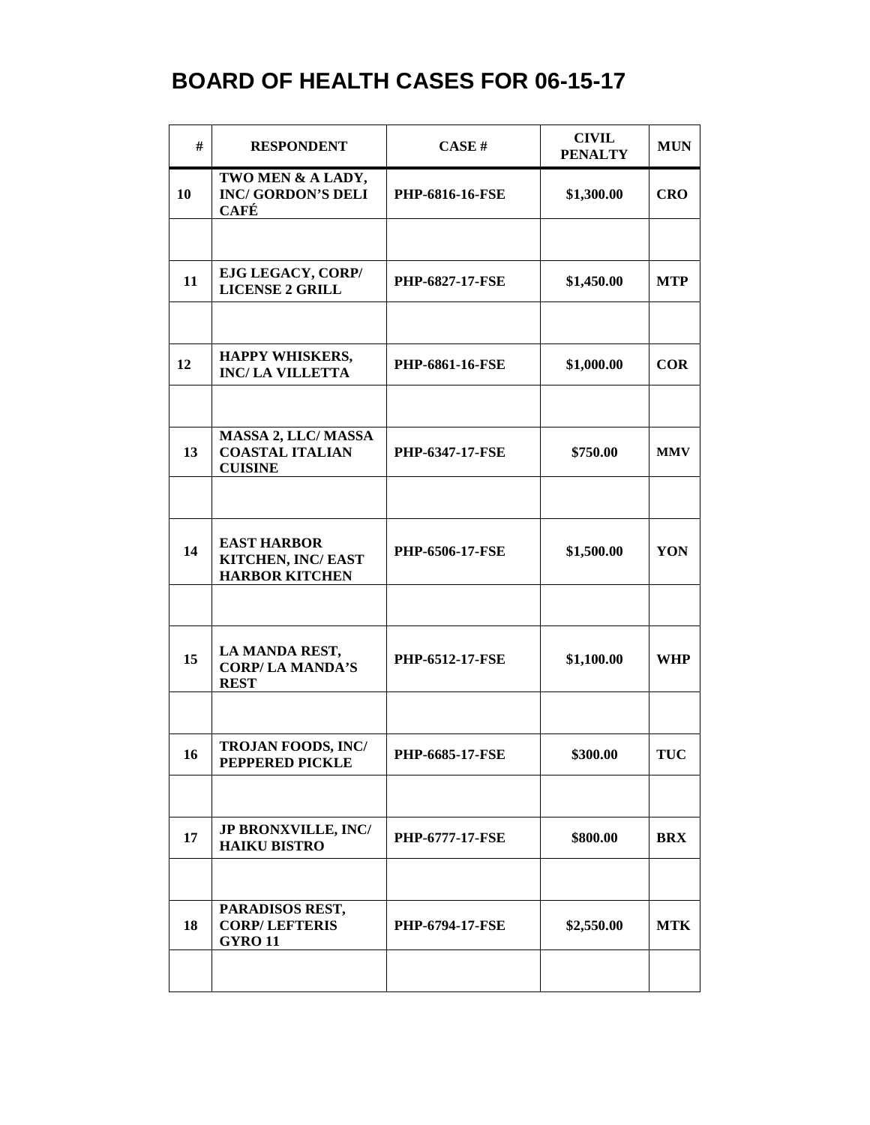## **BOARD OF HEALTH CASES FOR 06-15-17**

| #  | <b>RESPONDENT</b>                                                     | <b>CASE#</b>           | <b>CIVIL</b><br><b>PENALTY</b> | <b>MUN</b> |
|----|-----------------------------------------------------------------------|------------------------|--------------------------------|------------|
| 10 | TWO MEN & A LADY,<br><b>INC/GORDON'S DELI</b><br><b>CAFÉ</b>          | PHP-6816-16-FSE        | \$1,300.00                     | <b>CRO</b> |
|    |                                                                       |                        |                                |            |
| 11 | EJG LEGACY, CORP/<br><b>LICENSE 2 GRILL</b>                           | <b>PHP-6827-17-FSE</b> | \$1,450.00                     | <b>MTP</b> |
|    |                                                                       |                        |                                |            |
| 12 | HAPPY WHISKERS,<br><b>INC/LA VILLETTA</b>                             | PHP-6861-16-FSE        | \$1,000.00                     | <b>COR</b> |
|    |                                                                       |                        |                                |            |
| 13 | <b>MASSA 2, LLC/MASSA</b><br><b>COASTAL ITALIAN</b><br><b>CUISINE</b> | <b>PHP-6347-17-FSE</b> | \$750.00                       | <b>MMV</b> |
|    |                                                                       |                        |                                |            |
| 14 | <b>EAST HARBOR</b><br>KITCHEN, INC/EAST<br><b>HARBOR KITCHEN</b>      | PHP-6506-17-FSE        | \$1,500.00                     | YON        |
|    |                                                                       |                        |                                |            |
| 15 | LA MANDA REST,<br><b>CORP/LA MANDA'S</b><br><b>REST</b>               | <b>PHP-6512-17-FSE</b> | \$1,100.00                     | <b>WHP</b> |
|    |                                                                       |                        |                                |            |
| 16 | <b>TROJAN FOODS, INC/</b><br><b>PEPPERED PICKLE</b>                   | <b>PHP-6685-17-FSE</b> | \$300.00                       | <b>TUC</b> |
|    |                                                                       |                        |                                |            |
| 17 | <b>JP BRONXVILLE, INC/</b><br><b>HAIKU BISTRO</b>                     | <b>PHP-6777-17-FSE</b> | \$800.00                       | <b>BRX</b> |
|    |                                                                       |                        |                                |            |
| 18 | PARADISOS REST,<br><b>CORP/LEFTERIS</b><br><b>GYRO 11</b>             | <b>PHP-6794-17-FSE</b> | \$2,550.00                     | <b>MTK</b> |
|    |                                                                       |                        |                                |            |